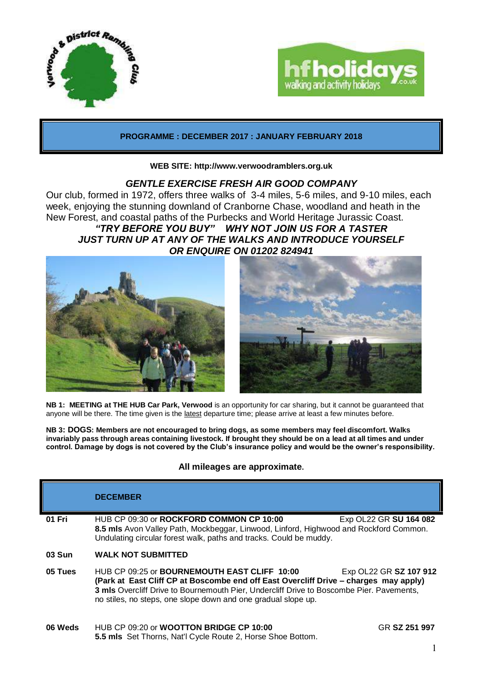



**PROGRAMME : DECEMBER 2017 : JANUARY FEBRUARY 2018**

#### **WEB SITE: http://www.verwoodramblers.org.uk**

## *GENTLE EXERCISE FRESH AIR GOOD COMPANY*

Our club, formed in 1972, offers three walks of 3-4 miles, 5-6 miles, and 9-10 miles, each week, enjoying the stunning downland of Cranborne Chase, woodland and heath in the New Forest, and coastal paths of the Purbecks and World Heritage Jurassic Coast. *"TRY BEFORE YOU BUY" WHY NOT JOIN US FOR A TASTER JUST TURN UP AT ANY OF THE WALKS AND INTRODUCE YOURSELF OR ENQUIRE ON 01202 824941*





**NB 1: MEETING at THE HUB Car Park, Verwood** is an opportunity for car sharing, but it cannot be guaranteed that anyone will be there. The time given is the latest departure time; please arrive at least a few minutes before.

**NB 3: DOGS: Members are not encouraged to bring dogs, as some members may feel discomfort. Walks invariably pass through areas containing livestock. If brought they should be on a lead at all times and under control. Damage by dogs is not covered by the Club's insurance policy and would be the owner's responsibility.**

### **All mileages are approximate.**

|         | <b>DECEMBER</b>                                                                                                                                                                                                                                                                                                                    |               |  |
|---------|------------------------------------------------------------------------------------------------------------------------------------------------------------------------------------------------------------------------------------------------------------------------------------------------------------------------------------|---------------|--|
| 01 Fri  | HUB CP 09:30 or ROCKFORD COMMON CP 10:00<br>Exp OL22 GR SU 164 082<br>8.5 mls Avon Valley Path, Mockbeggar, Linwood, Linford, Highwood and Rockford Common.<br>Undulating circular forest walk, paths and tracks. Could be muddy.                                                                                                  |               |  |
| 03 Sun  | <b>WALK NOT SUBMITTED</b>                                                                                                                                                                                                                                                                                                          |               |  |
| 05 Tues | HUB CP 09:25 or <b>BOURNEMOUTH EAST CLIFF 10:00</b><br>Exp OL22 GR SZ 107 912<br>(Park at East Cliff CP at Boscombe end off East Overcliff Drive – charges may apply)<br>3 mls Overcliff Drive to Bournemouth Pier, Undercliff Drive to Boscombe Pier. Pavements,<br>no stiles, no steps, one slope down and one gradual slope up. |               |  |
| 06 Weds | HUB CP 09:20 or <b>WOOTTON BRIDGE CP 10:00</b><br>5.5 mls Set Thorns, Nat'l Cycle Route 2, Horse Shoe Bottom.                                                                                                                                                                                                                      | GR SZ 251 997 |  |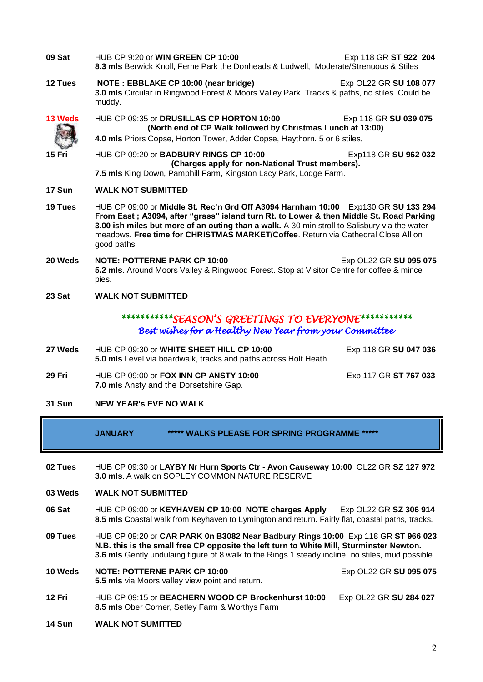- **09 Sat** HUB CP 9:20 or **WIN GREEN CP 10:00** Exp 118 GR **ST 922 204 8.3 mls** Berwick Knoll, Ferne Park the Donheads & Ludwell, Moderate/Strenuous & Stiles **12 Tues NOTE : EBBLAKE CP 10:00 (near bridge)** Exp OL22 GR **SU 108 077 3.0 mls** Circular in Ringwood Forest & Moors Valley Park. Tracks & paths, no stiles. Could be muddy. **13 Weds** HUB CP 09:35 or **DRUSILLAS CP HORTON 10:00** Exp 118 GR **SU 039 075 (North end of CP Walk followed by Christmas Lunch at 13:00) 4.0 mls** Priors Copse, Horton Tower, Adder Copse, Haythorn. 5 or 6 stiles. **15 Fri** HUB CP 09:20 or **BADBURY RINGS CP 10:00** Exp118 GR **SU 962 032 (Charges apply for non-National Trust members). 7.5 mls** King Down, Pamphill Farm, Kingston Lacy Park, Lodge Farm. **17 Sun WALK NOT SUBMITTED 19 Tues** HUB CP 09:00 or **Middle St. Rec'n Grd Off A3094 Harnham 10:00** Exp130 GR **SU 133 294 From East ; A3094, after "grass" island turn Rt. to Lower & then Middle St. Road Parking 3.00 ish miles but more of an outing than a walk.** A 30 min stroll to Salisbury via the water meadows. **Free time for CHRISTMAS MARKET/Coffee**. Return via Cathedral Close All on good paths. **20 Weds NOTE: POTTERNE PARK CP 10:00** Exp OL22 GR **SU 095 075 5.2 mls**. Around Moors Valley & Ringwood Forest. Stop at Visitor Centre for coffee & mince pies. **23 Sat WALK NOT SUBMITTED** *\*\*\*\*\*\*\*\*\*\*\*SEASON'S GREETINGS TO EVERYONE\*\*\*\*\*\*\*\*\*\*\* Best wishes for a Healthy New Year from your Committee*  **27 Weds** HUB CP 09:30 or WHITE SHEET HILL CP 10:00 Exp 118 GR SU 047 036 **5.0 mls** Level via boardwalk, tracks and paths across Holt Heath
- **29 Fri** HUB CP 09:00 or **FOX INN CP ANSTY 10:00** Exp 117 GR **ST 767 033 7.0 mls** Ansty and the Dorsetshire Gap.

### **31 Sun NEW YEAR's EVE NO WALK**

- **JANUARY \*\*\*\*\* WALKS PLEASE FOR SPRING PROGRAMME \*\*\*\*\***
- **02 Tues** HUB CP 09:30 or **LAYBY Nr Hurn Sports Ctr - Avon Causeway 10:00** OL22 GR **SZ 127 972 3.0 mls**. A walk on SOPLEY COMMON NATURE RESERVE
- **03 Weds WALK NOT SUBMITTED**
- **06 Sat** HUB CP 09:00 or **KEYHAVEN CP 10:00 NOTE charges Apply** Exp OL22 GR **SZ 306 914 8.5 mls C**oastal walk from Keyhaven to Lymington and return. Fairly flat, coastal paths, tracks.
- **09 Tues** HUB CP 09:20 or **CAR PARK 0n B3082 Near Badbury Rings 10:00** Exp 118 GR **ST 966 023 N.B. this is the small free CP opposite the left turn to White Mill, Sturminster Newton. 3.6 mls** Gently undulaing figure of 8 walk to the Rings 1 steady incline, no stiles, mud possible.
- **10 Weds NOTE: POTTERNE PARK CP 10:00** Exp OL22 GR **SU 095 075 5.5 mls** via Moors valley view point and return.
- **12 Fri** HUB CP 09:15 or **BEACHERN WOOD CP Brockenhurst 10:00** Exp OL22 GR **SU 284 027 8.5 mls** Ober Corner, Setley Farm & Worthys Farm
- **14 Sun WALK NOT SUMITTED**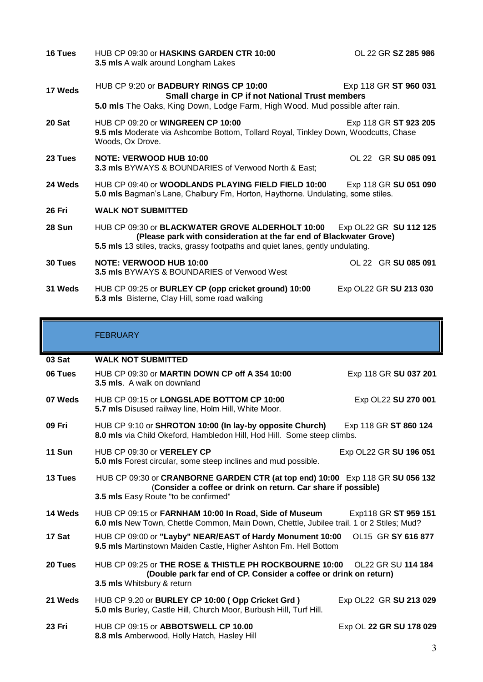| 16 Tues       | HUB CP 09:30 or HASKINS GARDEN CTR 10:00<br>3.5 mls A walk around Longham Lakes                                                                                                                                                      | OL 22 GR SZ 285 986    |  |
|---------------|--------------------------------------------------------------------------------------------------------------------------------------------------------------------------------------------------------------------------------------|------------------------|--|
| 17 Weds       | HUB CP 9:20 or <b>BADBURY RINGS CP 10:00</b><br>Exp 118 GR ST 960 031<br>Small charge in CP if not National Trust members<br>5.0 mls The Oaks, King Down, Lodge Farm, High Wood. Mud possible after rain.                            |                        |  |
| 20 Sat        | HUB CP 09:20 or <b>WINGREEN CP 10:00</b><br>9.5 mls Moderate via Ashcombe Bottom, Tollard Royal, Tinkley Down, Woodcutts, Chase<br>Woods, Ox Drove.                                                                                  | Exp 118 GR ST 923 205  |  |
| 23 Tues       | <b>NOTE: VERWOOD HUB 10:00</b><br>3.3 mls BYWAYS & BOUNDARIES of Verwood North & East;                                                                                                                                               | OL 22 GR SU 085 091    |  |
| 24 Weds       | HUB CP 09:40 or WOODLANDS PLAYING FIELD FIELD 10:00<br>Exp 118 GR SU 051 090<br>5.0 mls Bagman's Lane, Chalbury Fm, Horton, Haythorne. Undulating, some stiles.                                                                      |                        |  |
| <b>26 Fri</b> | <b>WALK NOT SUBMITTED</b>                                                                                                                                                                                                            |                        |  |
| 28 Sun        | HUB CP 09:30 or BLACKWATER GROVE ALDERHOLT 10:00<br>Exp OL22 GR SU 112 125<br>(Please park with consideration at the far end of Blackwater Grove)<br>5.5 mls 13 stiles, tracks, grassy footpaths and quiet lanes, gently undulating. |                        |  |
| 30 Tues       | <b>NOTE: VERWOOD HUB 10:00</b><br><b>3.5 mls BYWAYS &amp; BOUNDARIES of Verwood West</b>                                                                                                                                             | OL 22 GR SU 085 091    |  |
| 31 Weds       | HUB CP 09:25 or BURLEY CP (opp cricket ground) 10:00<br>5.3 mls Bisterne, Clay Hill, some road walking                                                                                                                               | Exp OL22 GR SU 213 030 |  |

# FEBRUARY

| 03 Sat        | <b>WALK NOT SUBMITTED</b>                                                                                                                                                              |                         |  |
|---------------|----------------------------------------------------------------------------------------------------------------------------------------------------------------------------------------|-------------------------|--|
| 06 Tues       | HUB CP 09:30 or MARTIN DOWN CP off A 354 10:00<br><b>3.5 mls.</b> A walk on downland                                                                                                   | Exp 118 GR SU 037 201   |  |
| 07 Weds       | HUB CP 09:15 or LONGSLADE BOTTOM CP 10:00<br>5.7 mls Disused railway line, Holm Hill, White Moor.                                                                                      | Exp OL22 SU 270 001     |  |
| 09 Fri        | HUB CP 9:10 or SHROTON 10:00 (In lay-by opposite Church)<br>8.0 mls via Child Okeford, Hambledon Hill, Hod Hill. Some steep climbs.                                                    | Exp 118 GR ST 860 124   |  |
| 11 Sun        | HUB CP 09:30 or VERELEY CP<br>5.0 mls Forest circular, some steep inclines and mud possible.                                                                                           | Exp OL22 GR SU 196 051  |  |
| 13 Tues       | HUB CP 09:30 or CRANBORNE GARDEN CTR (at top end) 10:00 Exp 118 GR SU 056 132<br>(Consider a coffee or drink on return. Car share if possible)<br>3.5 mls Easy Route "to be confirmed" |                         |  |
| 14 Weds       | HUB CP 09:15 or FARNHAM 10:00 In Road, Side of Museum<br>Exp118 GR ST 959 151<br>6.0 mls New Town, Chettle Common, Main Down, Chettle, Jubilee trail. 1 or 2 Stiles; Mud?              |                         |  |
| 17 Sat        | HUB CP 09:00 or "Layby" NEAR/EAST of Hardy Monument 10:00<br>9.5 mls Martinstown Maiden Castle, Higher Ashton Fm. Hell Bottom                                                          | OL15 GR SY 616 877      |  |
| 20 Tues       | HUB CP 09:25 or THE ROSE & THISTLE PH ROCKBOURNE 10:00<br>OL22 GR SU 114 184<br>(Double park far end of CP. Consider a coffee or drink on return)<br>3.5 mls Whitsbury & return        |                         |  |
| 21 Weds       | HUB CP 9.20 or BURLEY CP 10:00 (Opp Cricket Grd)<br>5.0 mls Burley, Castle Hill, Church Moor, Burbush Hill, Turf Hill.                                                                 | Exp OL22 GR SU 213 029  |  |
| <b>23 Fri</b> | HUB CP 09:15 or ABBOTSWELL CP 10.00<br>8.8 mls Amberwood, Holly Hatch, Hasley Hill                                                                                                     | Exp OL 22 GR SU 178 029 |  |